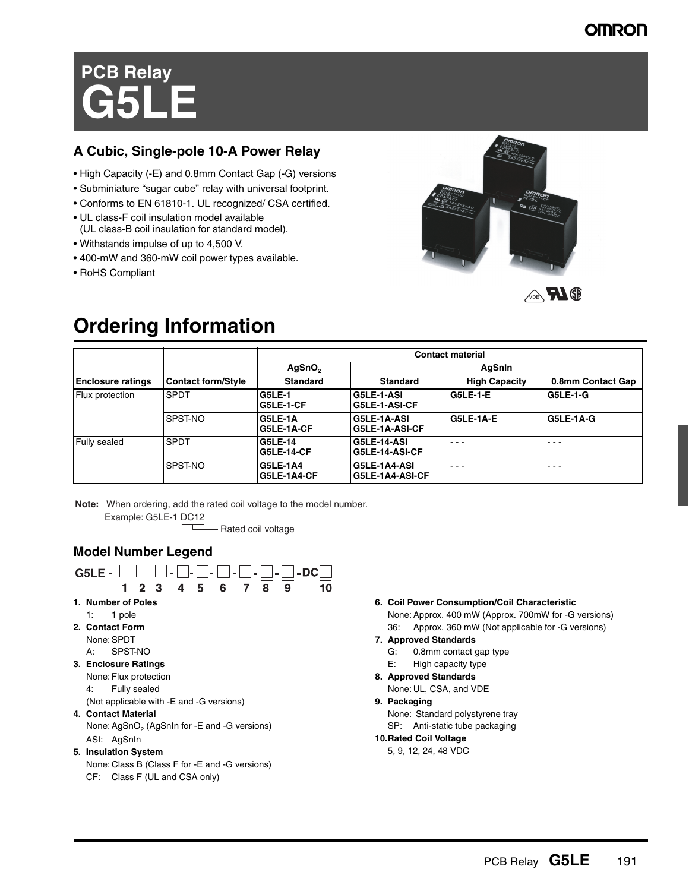## **OMRON**

# **PCB Relay G5LE**

## **A Cubic, Single-pole 10-A Power Relay**

- High Capacity (-E) and 0.8mm Contact Gap (-G) versions
- Subminiature "sugar cube" relay with universal footprint.
- Conforms to EN 61810-1. UL recognized/ CSA certified.
- UL class-F coil insulation model available (UL class-B coil insulation for standard model).
- Withstands impulse of up to 4,500 V.
- 400-mW and 360-mW coil power types available.
- RoHS Compliant



## **Ordering Information**

|                          |                           | <b>Contact material</b>               |                                      |                      |                   |
|--------------------------|---------------------------|---------------------------------------|--------------------------------------|----------------------|-------------------|
|                          |                           | AgSnO <sub>2</sub>                    |                                      | AqSnin               |                   |
| <b>Enclosure ratings</b> | <b>Contact form/Style</b> | <b>Standard</b>                       | <b>Standard</b>                      | <b>High Capacity</b> | 0.8mm Contact Gap |
| Flux protection          | <b>SPDT</b>               | <b>G5LE-1</b><br>IG5LE-1-CF           | G5LE-1-ASI<br>G5LE-1-ASI-CF          | G5LE-1-E             | <b>G5LE-1-G</b>   |
|                          | SPST-NO                   | <b>G5LE-1A</b><br><b>G5LE-1A-CF</b>   | G5LE-1A-ASI<br>G5LE-1A-ASI-CF        | <b>G5LE-1A-E</b>     | G5LE-1A-G         |
| Fully sealed             | <b>SPDT</b>               | <b>G5LE-14</b><br><b>G5LE-14-CF</b>   | <b>G5LE-14-ASI</b><br>G5LE-14-ASI-CF | $  -$                | - - -             |
|                          | SPST-NO                   | <b>G5LE-1A4</b><br><b>G5LE-1A4-CF</b> | G5LE-1A4-ASI<br>G5LE-1A4-ASI-CF      | $  -$                | - - -             |

**Note:** When ordering, add the rated coil voltage to the model number. Example: G5LE-1 DC12

- Rated coil voltage

## **Model Number Legend**



**6. Coil Power Consumption/Coil Characteristic** None: Approx. 400 mW (Approx. 700mW for -G versions) 36: Approx. 360 mW (Not applicable for -G versions)

#### **7. Approved Standards**

- G: 0.8mm contact gap type
- E: High capacity type
- **8. Approved Standards**

None: UL, CSA, and VDE

**9. Packaging**

None: Standard polystyrene tray SP: Anti-static tube packaging

#### **10.Rated Coil Voltage**

5, 9, 12, 24, 48 VDC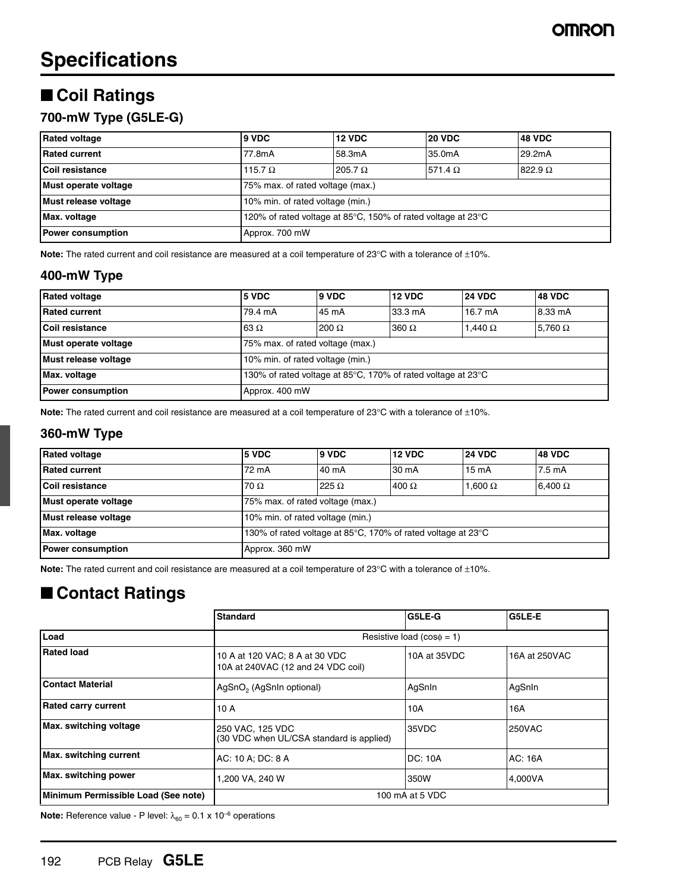## ■ **Coil Ratings**

## **700-mW Type (G5LE-G)**

| <b>Rated voltage</b>     | 9 VDC                                                        | <b>12 VDC</b>  | <b>20 VDC</b>  | <b>48 VDC</b>  |  |
|--------------------------|--------------------------------------------------------------|----------------|----------------|----------------|--|
| <b>Rated current</b>     | 77.8mA                                                       | 58.3mA         | 35.0mA         | 29.2mA         |  |
| Coil resistance          | 115.7 $\Omega$                                               | 205.7 $\Omega$ | 571.4 $\Omega$ | $822.9 \Omega$ |  |
| Must operate voltage     | 75% max. of rated voltage (max.)                             |                |                |                |  |
| Must release voltage     | 10% min. of rated voltage (min.)                             |                |                |                |  |
| Max. voltage             | 120% of rated voltage at 85°C, 150% of rated voltage at 23°C |                |                |                |  |
| <b>Power consumption</b> | Approx. 700 mW                                               |                |                |                |  |

**Note:** The rated current and coil resistance are measured at a coil temperature of 23°C with a tolerance of ±10%.

### **400-mW Type**

| <b>Rated voltage</b>     | 5 VDC                                                                            | 9 VDC        | <b>12 VDC</b> | <b>24 VDC</b>     | <b>48 VDC</b>  |  |
|--------------------------|----------------------------------------------------------------------------------|--------------|---------------|-------------------|----------------|--|
| <b>Rated current</b>     | 79.4 mA                                                                          | 45 mA        | 33.3 mA       | $16.7 \text{ mA}$ | 8.33 mA        |  |
| Coil resistance          | 63 $\Omega$                                                                      | $200 \Omega$ | $360 \Omega$  | 1.440 $\Omega$    | 5.760 $\Omega$ |  |
| Must operate voltage     | 75% max. of rated voltage (max.)                                                 |              |               |                   |                |  |
| Must release voltage     | 10% min. of rated voltage (min.)                                                 |              |               |                   |                |  |
| Max. voltage             | 130% of rated voltage at 85 $\degree$ C, 170% of rated voltage at 23 $\degree$ C |              |               |                   |                |  |
| <b>Power consumption</b> | Approx. 400 mW                                                                   |              |               |                   |                |  |

**Note:** The rated current and coil resistance are measured at a coil temperature of 23°C with a tolerance of ±10%.

#### **360-mW Type**

| <b>Rated voltage</b>     | 5 VDC                                                        | 9 VDC        | <b>12 VDC</b> | <b>24 VDC</b>   | <b>48 VDC</b>    |  |
|--------------------------|--------------------------------------------------------------|--------------|---------------|-----------------|------------------|--|
| <b>Rated current</b>     | 72 mA                                                        | 40 mA        | 30 mA         | $15 \text{ mA}$ | $7.5 \text{ mA}$ |  |
| Coil resistance          | $70 \Omega$                                                  | 225 $\Omega$ | 400 $\Omega$  | 1.600 $\Omega$  | $6.400 \Omega$   |  |
| Must operate voltage     | 75% max. of rated voltage (max.)                             |              |               |                 |                  |  |
| Must release voltage     | 10% min. of rated voltage (min.)                             |              |               |                 |                  |  |
| Max. voltage             | 130% of rated voltage at 85°C, 170% of rated voltage at 23°C |              |               |                 |                  |  |
| <b>Power consumption</b> | Approx. 360 mW                                               |              |               |                 |                  |  |

**Note:** The rated current and coil resistance are measured at a coil temperature of 23°C with a tolerance of ±10%.

## ■ **Contact Ratings**

|                                     | <b>Standard</b>                                                      | G5LE-G                         | G5LE-E         |  |
|-------------------------------------|----------------------------------------------------------------------|--------------------------------|----------------|--|
| Load                                |                                                                      | Resistive load $(cos\phi = 1)$ |                |  |
| <b>Rated load</b>                   | 10 A at 120 VAC; 8 A at 30 VDC<br>10A at 240VAC (12 and 24 VDC coil) | 10A at 35VDC                   | 16A at 250VAC  |  |
| Contact Material                    | AgSnO <sub>2</sub> (AgSnIn optional)                                 | AgSnIn                         | AgSnIn         |  |
| <b>Rated carry current</b>          | 10 A                                                                 | 10A                            | 16A            |  |
| Max. switching voltage              | 250 VAC, 125 VDC<br>(30 VDC when UL/CSA standard is applied)         | 35VDC                          | <b>250VAC</b>  |  |
| Max. switching current              | AC: 10 A; DC: 8 A                                                    | <b>DC: 10A</b>                 | <b>AC: 16A</b> |  |
| Max. switching power                | 1,200 VA, 240 W                                                      | 350W                           | 4,000VA        |  |
| Minimum Permissible Load (See note) | 100 mA at 5 VDC                                                      |                                |                |  |

**Note:** Reference value - P level:  $\lambda_{60} = 0.1 \times 10^{-6}$  operations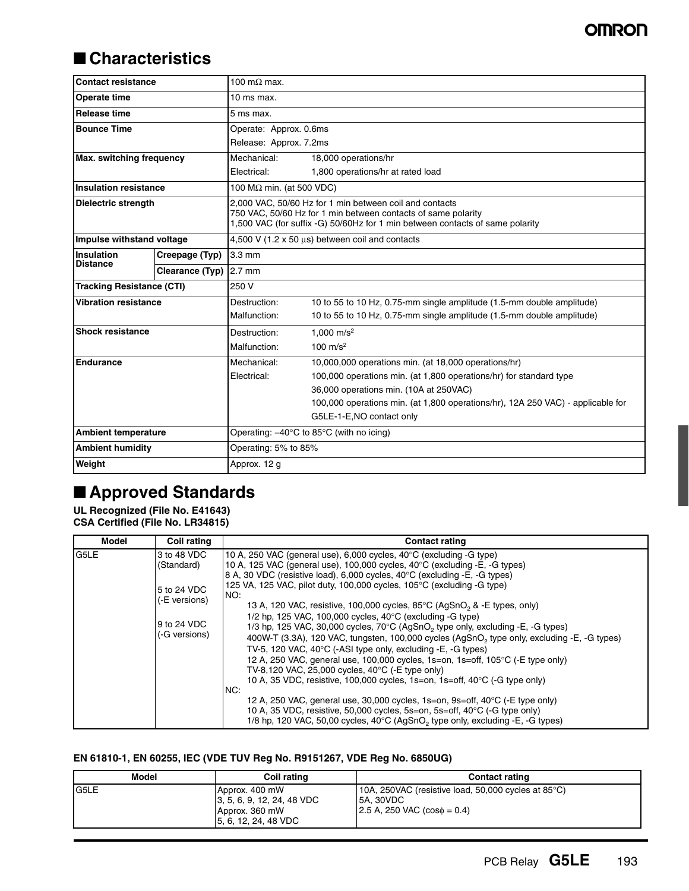## ■ **Characteristics**

| <b>Contact resistance</b>                              |                        | 100 m $\Omega$ max.                                                                                                                                                                                       |                                                                                 |  |  |
|--------------------------------------------------------|------------------------|-----------------------------------------------------------------------------------------------------------------------------------------------------------------------------------------------------------|---------------------------------------------------------------------------------|--|--|
| Operate time                                           |                        | $10$ ms max.                                                                                                                                                                                              |                                                                                 |  |  |
| <b>Release time</b>                                    |                        | 5 ms max.                                                                                                                                                                                                 |                                                                                 |  |  |
| <b>Bounce Time</b>                                     |                        | Operate: Approx. 0.6ms                                                                                                                                                                                    |                                                                                 |  |  |
|                                                        |                        | Release: Approx. 7.2ms                                                                                                                                                                                    |                                                                                 |  |  |
| Max. switching frequency                               |                        | Mechanical:<br>18,000 operations/hr                                                                                                                                                                       |                                                                                 |  |  |
|                                                        |                        | Electrical:                                                                                                                                                                                               | 1,800 operations/hr at rated load                                               |  |  |
| <b>Insulation resistance</b>                           |                        | 100 $M\Omega$ min. (at 500 VDC)                                                                                                                                                                           |                                                                                 |  |  |
| Dielectric strength                                    |                        | 2.000 VAC, 50/60 Hz for 1 min between coil and contacts<br>750 VAC, 50/60 Hz for 1 min between contacts of same polarity<br>1,500 VAC (for suffix -G) 50/60Hz for 1 min between contacts of same polarity |                                                                                 |  |  |
| Impulse withstand voltage                              |                        | 4,500 V (1.2 x 50 us) between coil and contacts                                                                                                                                                           |                                                                                 |  |  |
| <b>Insulation</b><br>Creepage (Typ)<br><b>Distance</b> |                        | $3.3 \text{ mm}$                                                                                                                                                                                          |                                                                                 |  |  |
|                                                        | Clearance (Typ) 2.7 mm |                                                                                                                                                                                                           |                                                                                 |  |  |
| <b>Tracking Resistance (CTI)</b>                       |                        | 250 V                                                                                                                                                                                                     |                                                                                 |  |  |
| Vibration resistance                                   |                        | Destruction:                                                                                                                                                                                              | 10 to 55 to 10 Hz, 0.75-mm single amplitude (1.5-mm double amplitude)           |  |  |
|                                                        |                        | Malfunction:                                                                                                                                                                                              | 10 to 55 to 10 Hz, 0.75-mm single amplitude (1.5-mm double amplitude)           |  |  |
| <b>Shock resistance</b>                                |                        | Destruction:                                                                                                                                                                                              | 1.000 $m/s^2$                                                                   |  |  |
|                                                        |                        | Malfunction:                                                                                                                                                                                              | 100 $m/s^2$                                                                     |  |  |
| <b>Endurance</b>                                       |                        | Mechanical:                                                                                                                                                                                               | 10,000,000 operations min. (at 18,000 operations/hr)                            |  |  |
|                                                        |                        | Electrical:                                                                                                                                                                                               | 100,000 operations min. (at 1,800 operations/hr) for standard type              |  |  |
|                                                        |                        |                                                                                                                                                                                                           | 36,000 operations min. (10A at 250VAC)                                          |  |  |
|                                                        |                        |                                                                                                                                                                                                           | 100,000 operations min. (at 1,800 operations/hr), 12A 250 VAC) - applicable for |  |  |
|                                                        |                        |                                                                                                                                                                                                           | G5LE-1-E, NO contact only                                                       |  |  |
| <b>Ambient temperature</b>                             |                        | Operating: $-40^{\circ}$ C to 85 $^{\circ}$ C (with no icing)                                                                                                                                             |                                                                                 |  |  |
| <b>Ambient humidity</b>                                |                        | Operating: 5% to 85%                                                                                                                                                                                      |                                                                                 |  |  |
| Weight                                                 |                        | Approx. 12 g                                                                                                                                                                                              |                                                                                 |  |  |

## ■ **Approved Standards**

**UL Recognized (File No. E41643) CSA Certified (File No. LR34815)**

| Model | <b>Coil rating</b>                                                                        | <b>Contact rating</b>                                                                                                                                                                                                                                                                                                                                                                                                                                                                                                                                                                                                                                                                                                                                                                                                                                                                                                                                                                                                                                                                                                                                                                                                                                                                                 |
|-------|-------------------------------------------------------------------------------------------|-------------------------------------------------------------------------------------------------------------------------------------------------------------------------------------------------------------------------------------------------------------------------------------------------------------------------------------------------------------------------------------------------------------------------------------------------------------------------------------------------------------------------------------------------------------------------------------------------------------------------------------------------------------------------------------------------------------------------------------------------------------------------------------------------------------------------------------------------------------------------------------------------------------------------------------------------------------------------------------------------------------------------------------------------------------------------------------------------------------------------------------------------------------------------------------------------------------------------------------------------------------------------------------------------------|
| G5LE  | 3 to 48 VDC<br>(Standard)<br>5 to 24 VDC<br>(-E versions)<br>9 to 24 VDC<br>(-G versions) | 10 A, 250 VAC (general use), 6,000 cycles, 40°C (excluding -G type)<br>10 A, 125 VAC (general use), 100,000 cycles, 40°C (excluding -E, -G types)<br>8 A, 30 VDC (resistive load), 6,000 cycles, 40°C (excluding -E, -G types)<br>125 VA, 125 VAC, pilot duty, 100,000 cycles, 105 $^{\circ}$ C (excluding -G type)<br>NO:<br>13 A, 120 VAC, resistive, 100,000 cycles, $85^{\circ}$ C (AgSnO <sub>2</sub> & -E types, only)<br>1/2 hp, 125 VAC, 100,000 cycles, 40°C (excluding -G type)<br>1/3 hp, 125 VAC, 30,000 cycles, $70^{\circ}$ C (AgSnO <sub>2</sub> type only, excluding -E, -G types)<br>400W-T (3.3A), 120 VAC, tungsten, 100,000 cycles (AgSnO <sub>2</sub> type only, excluding -E, -G types)<br>TV-5, 120 VAC, 40°C (-ASI type only, excluding -E, -G types)<br>12 A, 250 VAC, general use, 100,000 cycles, 1s=on, 1s=off, 105°C (-E type only)<br>TV-8,120 VAC, 25,000 cycles, 40 $\degree$ C (-E type only)<br>10 A, 35 VDC, resistive, 100,000 cycles, 1s=on, 1s=off, 40°C (-G type only)<br>NC:<br>12 A, 250 VAC, general use, 30,000 cycles, 1s=on, 9s=off, $40^{\circ}$ C (-E type only)<br>10 A, 35 VDC, resistive, 50,000 cycles, 5s=on, 5s=off, 40°C (-G type only)<br>1/8 hp, 120 VAC, 50,00 cycles, $40^{\circ}$ C (AgSnO <sub>2</sub> type only, excluding -E, -G types) |

#### **EN 61810-1, EN 60255, IEC (VDE TUV Reg No. R9151267, VDE Reg No. 6850UG)**

| <b>Model</b> | Coil rating                                                                             | <b>Contact rating</b>                                                                                                                           |
|--------------|-----------------------------------------------------------------------------------------|-------------------------------------------------------------------------------------------------------------------------------------------------|
| G5LE         | Approx. 400 mW<br>3, 5, 6, 9, 12, 24, 48 VDC<br>Approx. 360 mW<br>[5, 6, 12, 24, 48 VDC | 10A, 250VAC (resistive load, 50,000 cycles at $85^{\circ}$ C)<br><b>5A. 30VDC</b><br>$\vert 2.5 \text{ A}, 250 \text{ VAC}$ (cos $\phi = 0.4$ ) |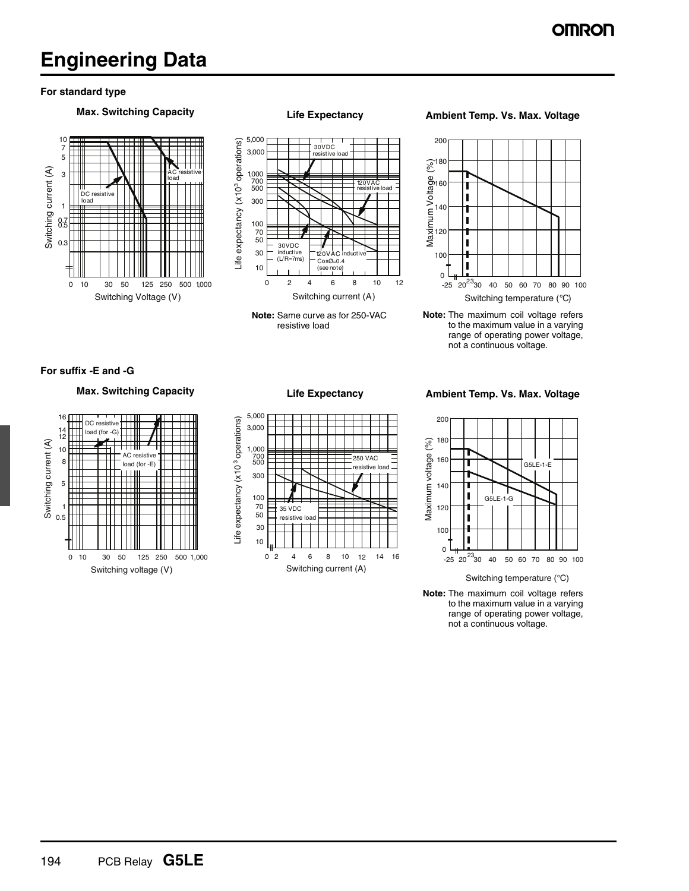## **Engineering Data**

#### **For standard type**







### **Max. Switching Capacity Life Expectancy Ambient Temp. Vs. Max. Voltage**



**Note:** The maximum coil voltage refers to the maximum value in a varying range of operating power voltage, not a continuous voltage.

**For suffix -E and -G**





**Max. Switching Capacity Life Expectancy Ambient Temp. Vs. Max. Voltage**



**Note:** The maximum coil voltage refers to the maximum value in a varying range of operating power voltage, not a continuous voltage.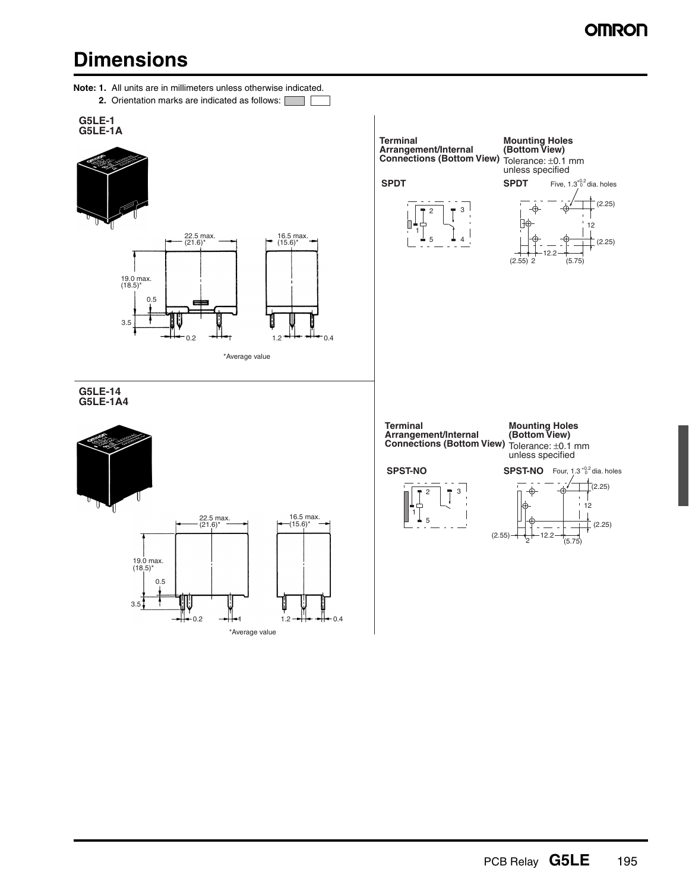## **OMRON**

## **Dimensions**

- **Note: 1.** All units are in millimeters unless otherwise indicated.
	- **2.** Orientation marks are indicated as follows: TT F







**G5LE-14 G5LE-1A4**

3.5





**Terminal Mounting Holes (Bottom View) Arrangement/Internal Connections (Bottom View)** Tolerance: ±0.1 mm unless specified **SPDT SPDT** Five,  $1.3^{+0.2}_{-0}$ dia. holes  $(2.25)$ -ക 3 2 βφ 12 1 (2.25) 5 4 12.2  $(2.55)$ (5.75) **Terminal Arrangement/Internal Mounting Holes (Bottom View) Connections (Bottom View)** Tolerance: ±0.1 mm unless specified **SPST-NO SPST-NO** Four,  $1.3_{0.2}^{+0.2}$  dia. holes  $\Gamma$ (2.25)  $\mathsf{T}^3$ ⊕ 2  $\mathbf{r}$  $12$ 1 5 (2.25)  $(2.55)$ 12.2 (5.75)

PCB Relay **G5LE** 195